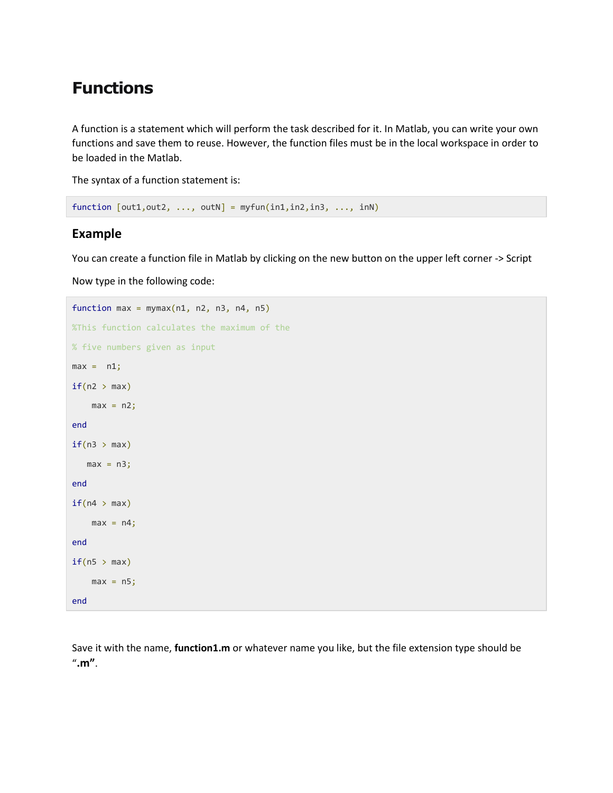## **Functions**

A function is a statement which will perform the task described for it. In Matlab, you can write your own functions and save them to reuse. However, the function files must be in the local workspace in order to be loaded in the Matlab.

The syntax of a function statement is:

```
function [out1,out2, ..., outN] = myfun(in1,in2,in3, ..., inN)
```
## **Example**

You can create a function file in Matlab by clicking on the new button on the upper left corner -> Script

Now type in the following code:

```
function max = mymax(n1, n2, n3, n4, n5)%This function calculates the maximum of the
% five numbers given as input
max = n1;if(n2 > max)max = n2;end
if(n3 > max)max = n3;end
if(n4 > max)max = n4;end
if(n5 > max)max = n5;
end
```
Save it with the name, **function1.m** or whatever name you like, but the file extension type should be "**.m"**.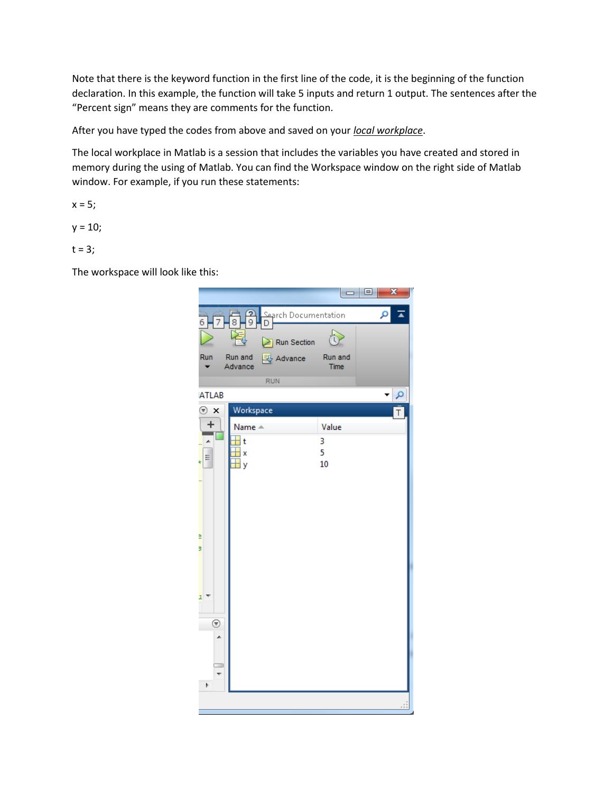Note that there is the keyword function in the first line of the code, it is the beginning of the function declaration. In this example, the function will take 5 inputs and return 1 output. The sentences after the "Percent sign" means they are comments for the function.

After you have typed the codes from above and saved on your *local workplace*.

The local workplace in Matlab is a session that includes the variables you have created and stored in memory during the using of Matlab. You can find the Workspace window on the right side of Matlab window. For example, if you run these statements:

 $x = 5;$ 

 $y = 10;$ 

 $t = 3;$ 

The workspace will look like this: